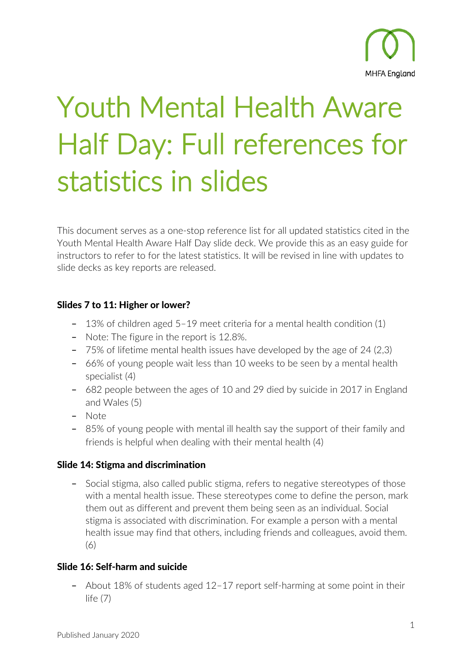

# Youth Mental Health Aware Half Day: Full references for statistics in slides

This document serves as a one-stop reference list for all updated statistics cited in the Youth Mental Health Aware Half Day slide deck. We provide this as an easy guide for instructors to refer to for the latest statistics. It will be revised in line with updates to slide decks as key reports are released.

### Slides 7 to 11: Higher or lower?

- **–** 13% of children aged 5–19 meet criteria for a mental health condition (1)
- **–** Note: The figure in the report is 12.8%.
- **–** 75% of lifetime mental health issues have developed by the age of 24 (2,3)
- **–** 66% of young people wait less than 10 weeks to be seen by a mental health specialist (4)
- **–** 682 people between the ages of 10 and 29 died by suicide in 2017 in England and Wales (5)
- **–** Note
- **–** 85% of young people with mental ill health say the support of their family and friends is helpful when dealing with their mental health (4)

### Slide 14: Stigma and discrimination

**–** Social stigma, also called public stigma, refers to negative stereotypes of those with a mental health issue. These stereotypes come to define the person, mark them out as different and prevent them being seen as an individual. Social stigma is associated with discrimination. For example a person with a mental health issue may find that others, including friends and colleagues, avoid them. (6)

## Slide 16: Self-harm and suicide

**–** About 18% of students aged 12–17 report self-harming at some point in their life (7)